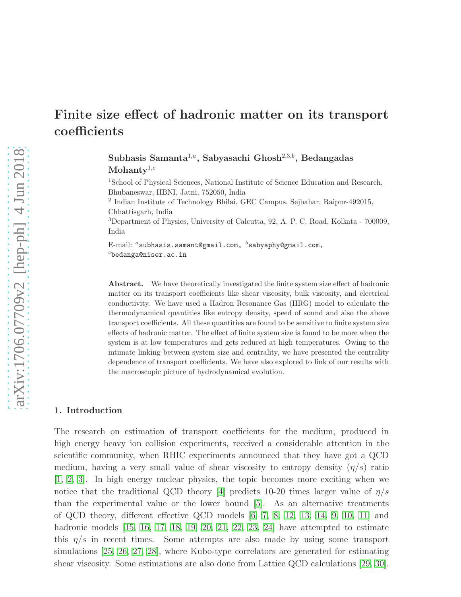# Finite size effect of hadronic matter on its transport coefficients

Subhasis Samanta<sup>1,a</sup>, Sabyasachi Ghosh<sup>2,3,b</sup>, Bedangadas Mohanty $1,c$ 

<sup>1</sup>School of Physical Sciences, National Institute of Science Education and Research, Bhubaneswar, HBNI, Jatni, 752050, India

2 Indian Institute of Technology Bhilai, GEC Campus, Sejbahar, Raipur-492015, Chhattisgarh, India

<sup>3</sup>Department of Physics, University of Calcutta, 92, A. P. C. Road, Kolkata - 700009, India

E-mail:  $a$  subhasis.samant@gmail.com,  $b$  sabyaphy@gmail.com,  $c$ bedanga@niser.ac.in

Abstract. We have theoretically investigated the finite system size effect of hadronic matter on its transport coefficients like shear viscosity, bulk viscosity, and electrical conductivity. We have used a Hadron Resonance Gas (HRG) model to calculate the thermodynamical quantities like entropy density, speed of sound and also the above transport coefficients. All these quantities are found to be sensitive to finite system size effects of hadronic matter. The effect of finite system size is found to be more when the system is at low temperatures and gets reduced at high temperatures. Owing to the intimate linking between system size and centrality, we have presented the centrality dependence of transport coefficients. We have also explored to link of our results with the macroscopic picture of hydrodynamical evolution.

## 1. Introduction

The research on estimation of transport coefficients for the medium, produced in high energy heavy ion collision experiments, received a considerable attention in the scientific community, when RHIC experiments announced that they have got a QCD medium, having a very small value of shear viscosity to entropy density  $(\eta/s)$  ratio [\[1,](#page-12-0) [2,](#page-12-1) [3\]](#page-12-2). In high energy nuclear physics, the topic becomes more exciting when we notice that the traditional QCD theory [\[4\]](#page-12-3) predicts 10-20 times larger value of  $\eta/s$ than the experimental value or the lower bound [\[5\]](#page-12-4). As an alternative treatments of QCD theory, different effective QCD models [\[6,](#page-12-5) [7,](#page-12-6) [8,](#page-12-7) [12,](#page-13-0) [13,](#page-13-1) [14,](#page-13-2) [9,](#page-12-8) [10,](#page-12-9) [11\]](#page-13-3) and hadronic models [\[15,](#page-13-4) [16,](#page-13-5) [17,](#page-13-6) [18,](#page-13-7) [19,](#page-13-8) [20,](#page-13-9) [21,](#page-13-10) [22,](#page-13-11) [23,](#page-13-12) [24\]](#page-13-13) have attempted to estimate this  $\eta/s$  in recent times. Some attempts are also made by using some transport simulations [\[25,](#page-13-14) [26,](#page-13-15) [27,](#page-13-16) [28\]](#page-13-17), where Kubo-type correlators are generated for estimating shear viscosity. Some estimations are also done from Lattice QCD calculations [\[29,](#page-13-18) [30\]](#page-13-19).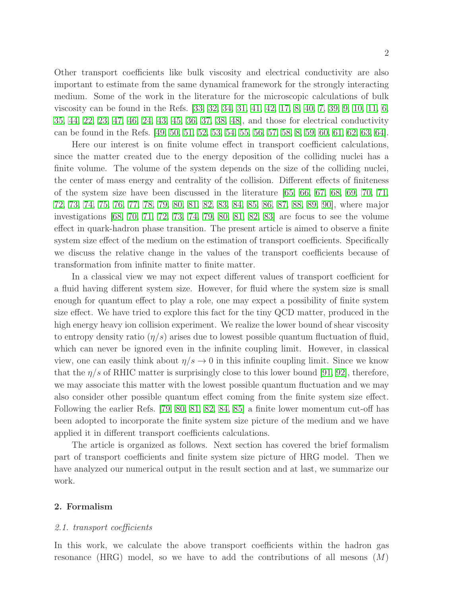Other transport coefficients like bulk viscosity and electrical conductivity are also important to estimate from the same dynamical framework for the strongly interacting medium. Some of the work in the literature for the microscopic calculations of bulk viscosity can be found in the Refs. [\[33,](#page-13-20) [32,](#page-13-21) [34,](#page-13-22) [31,](#page-13-23) [41,](#page-13-24) [42,](#page-13-25) [17,](#page-13-6) [8,](#page-12-7) [40,](#page-13-26) [7,](#page-12-6) [39,](#page-13-27) [9,](#page-12-8) [10,](#page-12-9) [11,](#page-13-3) [6,](#page-12-5) [35,](#page-13-28) [44,](#page-13-29) [22,](#page-13-11) [23,](#page-13-12) [47,](#page-13-30) [46,](#page-13-31) [24,](#page-13-13) [43,](#page-13-32) [45,](#page-13-33) [36,](#page-13-34) [37,](#page-13-35) [38,](#page-13-36) [48\]](#page-13-37), and those for electrical conductivity can be found in the Refs. [\[49,](#page-13-38) [50,](#page-13-39) [51,](#page-13-40) [52,](#page-13-41) [53,](#page-13-42) [54,](#page-13-43) [55,](#page-14-0) [56,](#page-14-1) [57,](#page-14-2) [58,](#page-14-3) [8,](#page-12-7) [59,](#page-14-4) [60,](#page-14-5) [61,](#page-14-6) [62,](#page-14-7) [63,](#page-14-8) [64\]](#page-14-9).

Here our interest is on finite volume effect in transport coefficient calculations, since the matter created due to the energy deposition of the colliding nuclei has a finite volume. The volume of the system depends on the size of the colliding nuclei, the center of mass energy and centrality of the collision. Different effects of finiteness of the system size have been discussed in the literature [\[65,](#page-14-10) [66,](#page-14-11) [67,](#page-14-12) [68,](#page-14-13) [69,](#page-14-14) [70,](#page-14-15) [71,](#page-14-16) [72,](#page-14-17) [73,](#page-14-18) [74,](#page-14-19) [75,](#page-14-20) [76,](#page-14-21) [77,](#page-14-22) [78,](#page-14-23) [79,](#page-14-24) [80,](#page-14-25) [81,](#page-14-26) [82,](#page-14-27) [83,](#page-14-28) [84,](#page-14-29) [85,](#page-14-30) [86,](#page-14-31) [87,](#page-14-32) [88,](#page-14-33) [89,](#page-14-34) [90\]](#page-14-35), where major investigations [\[68,](#page-14-13) [70,](#page-14-15) [71,](#page-14-16) [72,](#page-14-17) [73,](#page-14-18) [74,](#page-14-19) [79,](#page-14-24) [80,](#page-14-25) [81,](#page-14-26) [82,](#page-14-27) [83\]](#page-14-28) are focus to see the volume effect in quark-hadron phase transition. The present article is aimed to observe a finite system size effect of the medium on the estimation of transport coefficients. Specifically we discuss the relative change in the values of the transport coefficients because of transformation from infinite matter to finite matter.

In a classical view we may not expect different values of transport coefficient for a fluid having different system size. However, for fluid where the system size is small enough for quantum effect to play a role, one may expect a possibility of finite system size effect. We have tried to explore this fact for the tiny QCD matter, produced in the high energy heavy ion collision experiment. We realize the lower bound of shear viscosity to entropy density ratio  $(\eta/s)$  arises due to lowest possible quantum fluctuation of fluid, which can never be ignored even in the infinite coupling limit. However, in classical view, one can easily think about  $\eta/s \to 0$  in this infinite coupling limit. Since we know that the  $\eta/s$  of RHIC matter is surprisingly close to this lower bound [\[91,](#page-14-36) [92\]](#page-14-37), therefore, we may associate this matter with the lowest possible quantum fluctuation and we may also consider other possible quantum effect coming from the finite system size effect. Following the earlier Refs. [\[79,](#page-14-24) [80,](#page-14-25) [81,](#page-14-26) [82,](#page-14-27) [84,](#page-14-29) [85\]](#page-14-30) a finite lower momentum cut-off has been adopted to incorporate the finite system size picture of the medium and we have applied it in different transport coefficients calculations.

The article is organized as follows. Next section has covered the brief formalism part of transport coefficients and finite system size picture of HRG model. Then we have analyzed our numerical output in the result section and at last, we summarize our work.

# 2. Formalism

#### 2.1. transport coefficients

In this work, we calculate the above transport coefficients within the hadron gas resonance (HRG) model, so we have to add the contributions of all mesons  $(M)$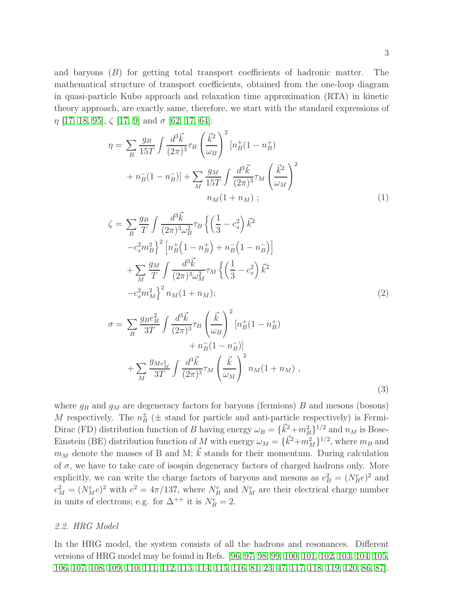and baryons (B) for getting total transport coefficients of hadronic matter. The mathematical structure of transport coefficients, obtained from the one-loop diagram in quasi-particle Kubo approach and relaxation time approximation (RTA) in kinetic theory approach, are exactly same, therefore, we start with the standard expressions of  $\eta$  [\[17,](#page-13-6) [18,](#page-13-7) [95\]](#page-14-38),  $\zeta$  [17, [9\]](#page-12-8) and  $\sigma$  [\[62,](#page-14-7) [17,](#page-13-6) [64\]](#page-14-9):

<span id="page-2-0"></span>
$$
\eta = \sum_{B} \frac{g_B}{15T} \int \frac{d^3 \vec{k}}{(2\pi)^3} \tau_B \left(\frac{\vec{k}^2}{\omega_B}\right)^2 \left[n_B^+(1 - n_B^+)\right] + n_B^-(1 - n_B^-\right)] + \sum_{M} \frac{g_M}{15T} \int \frac{d^3 \vec{k}}{(2\pi)^3} \tau_M \left(\frac{\vec{k}^2}{\omega_M}\right)^2 n_M(1 + n_M); \tag{1}
$$

<span id="page-2-1"></span>
$$
\zeta = \sum_{B} \frac{g_B}{T} \int \frac{d^3 \vec{k}}{(2\pi)^3 \omega_B^2} \tau_B \left\{ \left( \frac{1}{3} - c_s^2 \right) \vec{k}^2 -c_s^2 m_B^2 \right\}^2 \left[ n_B^+ \left( 1 - n_B^+ \right) + n_B^- \left( 1 - n_B^- \right) \right] + \sum_{M} \frac{g_M}{T} \int \frac{d^3 \vec{k}}{(2\pi)^3 \omega_M^2} \tau_M \left\{ \left( \frac{1}{3} - c_s^2 \right) \vec{k}^2 -c_s^2 m_M^2 \right\}^2 n_M (1 + n_M); \tag{2}
$$

<span id="page-2-2"></span>
$$
\sigma = \sum_{B} \frac{g_{B}e_{B}^{2}}{3T} \int \frac{d^{3}\vec{k}}{(2\pi)^{3}} \tau_{B} \left(\frac{\vec{k}}{\omega_{B}}\right)^{2} [n_{B}^{+}(1 - n_{B}^{+}) + n_{B}^{-}(1 - n_{B}^{-})] + \sum_{M} \frac{g_{Me_{M}^{2}}}{3T} \int \frac{d^{3}\vec{k}}{(2\pi)^{3}} \tau_{M} \left(\frac{\vec{k}}{\omega_{M}}\right)^{2} n_{M}(1 + n_{M}), \qquad (3)
$$

where  $g_B$  and  $g_M$  are degeneracy factors for baryons (fermions) B and mesons (bosons) M respectively. The  $n_B^{\pm}$  ( $\pm$  stand for particle and anti-particle respectively) is Fermi-Dirac (FD) distribution function of B having energy  $\omega_B = {\vec{k}_1^2 + m_B^2}^{1/2}$  and  $n_M$  is Bose-Einstein (BE) distribution function of M with energy  $\omega_M = {\bar{k}^2 + m_M^2}^{1/2}$ , where  $m_B$  and  $m_M$  denote the masses of B and M;  $\vec{k}$  stands for their momentum. During calculation of  $\sigma$ , we have to take care of isospin degeneracy factors of charged hadrons only. More explicitly, we can write the charge factors of baryons and mesons as  $e_B^2 = (N_B^e e)^2$  and  $e_M^2 = (N_M^e e)^2$  with  $e^2 = 4\pi/137$ , where  $N_B^e$  and  $N_M^e$  are their electrical charge number in units of electrons; e.g. for  $\Delta^{++}$  it is  $N_B^e = 2$ .

# 2.2. HRG Model

In the HRG model, the system consists of all the hadrons and resonances. Different versions of HRG model may be found in Refs. [\[96,](#page-14-39) [97,](#page-14-40) [98,](#page-14-41) [99,](#page-14-42) [100,](#page-14-43) [101,](#page-14-44) [102,](#page-15-0) [103,](#page-15-1) [104,](#page-15-2) [105,](#page-15-3) [106,](#page-15-4) [107,](#page-15-5) [108,](#page-15-6) [109,](#page-15-7) [110,](#page-15-8) [111,](#page-15-9) [112,](#page-15-10) [113,](#page-15-11) [114,](#page-15-12) [115,](#page-15-13) [116,](#page-15-14) [81,](#page-14-26) [23,](#page-13-12) [47,](#page-13-30) [117,](#page-15-15) [118,](#page-15-16) [119,](#page-15-17) [120,](#page-15-18) [86,](#page-14-31) [87\]](#page-14-32).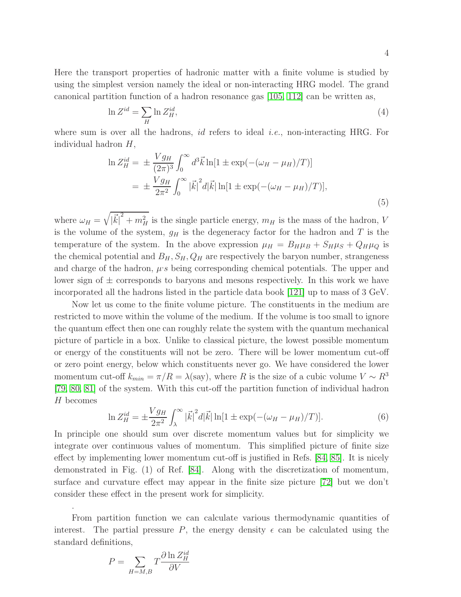Here the transport properties of hadronic matter with a finite volume is studied by using the simplest version namely the ideal or non-interacting HRG model. The grand canonical partition function of a hadron resonance gas [\[105,](#page-15-3) [112\]](#page-15-10) can be written as,

$$
\ln Z^{id} = \sum_{H} \ln Z_H^{id},\tag{4}
$$

where sum is over all the hadrons, *id* refers to ideal *i.e.*, non-interacting HRG. For individual hadron H,

$$
\ln Z_H^{id} = \pm \frac{V g_H}{(2\pi)^3} \int_0^\infty d^3 \vec{k} \ln[1 \pm \exp(-(\omega_H - \mu_H)/T)]
$$
  
= 
$$
\pm \frac{V g_H}{2\pi^2} \int_0^\infty |\vec{k}|^2 d|\vec{k}| \ln[1 \pm \exp(-(\omega_H - \mu_H)/T)],
$$
 (5)

where  $\omega_H = \sqrt{\frac{g}{\omega_H}}$  $|\vec{k}|^2 + m_H^2$  is the single particle energy,  $m_H$  is the mass of the hadron, V is the volume of the system,  $g_H$  is the degeneracy factor for the hadron and T is the temperature of the system. In the above expression  $\mu_H = B_H \mu_B + S_H \mu_S + Q_H \mu_Q$  is the chemical potential and  $B_H$ ,  $S_H$ ,  $Q_H$  are respectively the baryon number, strangeness and charge of the hadron,  $\mu$ 's being corresponding chemical potentials. The upper and lower sign of  $\pm$  corresponds to baryons and mesons respectively. In this work we have incorporated all the hadrons listed in the particle data book [\[121\]](#page-15-19) up to mass of 3 GeV.

Now let us come to the finite volume picture. The constituents in the medium are restricted to move within the volume of the medium. If the volume is too small to ignore the quantum effect then one can roughly relate the system with the quantum mechanical picture of particle in a box. Unlike to classical picture, the lowest possible momentum or energy of the constituents will not be zero. There will be lower momentum cut-off or zero point energy, below which constituents never go. We have considered the lower momentum cut-off  $k_{min} = \pi/R = \lambda$ (say), where R is the size of a cubic volume  $V \sim R^3$ [\[79,](#page-14-24) [80,](#page-14-25) [81\]](#page-14-26) of the system. With this cut-off the partition function of individual hadron H becomes

$$
\ln Z_H^{id} = \pm \frac{V g_H}{2\pi^2} \int_{\lambda}^{\infty} |\vec{k}|^2 d|\vec{k}| \ln[1 \pm \exp(-(\omega_H - \mu_H)/T)]. \tag{6}
$$

In principle one should sum over discrete momentum values but for simplicity we integrate over continuous values of momentum. This simplified picture of finite size effect by implementing lower momentum cut-off is justified in Refs. [\[84,](#page-14-29) [85\]](#page-14-30). It is nicely demonstrated in Fig. (1) of Ref. [\[84\]](#page-14-29). Along with the discretization of momentum, surface and curvature effect may appear in the finite size picture [\[72\]](#page-14-17) but we don't consider these effect in the present work for simplicity.

From partition function we can calculate various thermodynamic quantities of interest. The partial pressure P, the energy density  $\epsilon$  can be calculated using the standard definitions,

$$
P = \sum_{H=M,B} T \frac{\partial \ln Z_H^{id}}{\partial V}
$$

.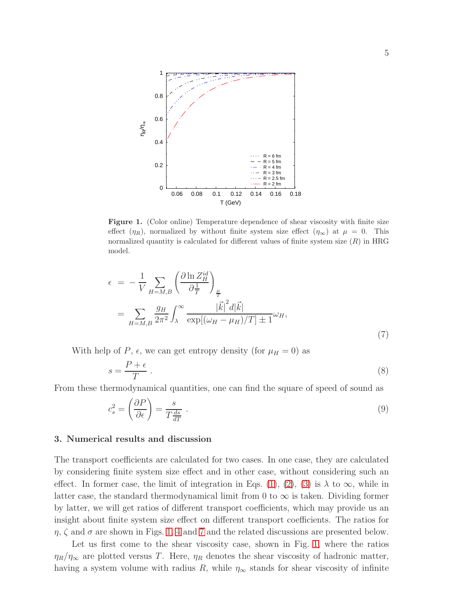

<span id="page-4-0"></span>Figure 1. (Color online) Temperature dependence of shear viscosity with finite size effect  $(\eta_R)$ , normalized by without finite system size effect  $(\eta_\infty)$  at  $\mu = 0$ . This normalized quantity is calculated for different values of finite system size  $(R)$  in HRG model.

$$
\epsilon = -\frac{1}{V} \sum_{H=M,B} \left( \frac{\partial \ln Z_H^{id}}{\partial \frac{1}{T}} \right)_{\frac{\mu}{T}}
$$
  
= 
$$
\sum_{H=M,B} \frac{g_H}{2\pi^2} \int_{\lambda}^{\infty} \frac{|\vec{k}|^2 d|\vec{k}|}{\exp[(\omega_H - \mu_H)/T] \pm 1} \omega_H,
$$
 (7)

With help of P,  $\epsilon$ , we can get entropy density (for  $\mu = 0$ ) as

$$
s = \frac{P + \epsilon}{T} \tag{8}
$$

From these thermodynamical quantities, one can find the square of speed of sound as

$$
c_s^2 = \left(\frac{\partial P}{\partial \epsilon}\right) = \frac{s}{T\frac{ds}{dT}}\tag{9}
$$

### 3. Numerical results and discussion

The transport coefficients are calculated for two cases. In one case, they are calculated by considering finite system size effect and in other case, without considering such an effect. In former case, the limit of integration in Eqs. [\(1\)](#page-2-0), [\(2\)](#page-2-1), [\(3\)](#page-2-2) is  $\lambda$  to  $\infty$ , while in latter case, the standard thermodynamical limit from 0 to  $\infty$  is taken. Dividing former by latter, we will get ratios of different transport coefficients, which may provide us an insight about finite system size effect on different transport coefficients. The ratios for  $\eta$ ,  $\zeta$  and  $\sigma$  are shown in Figs. [1,](#page-4-0) [4](#page-7-0) and [7](#page-8-0) and the related discussions are presented below.

Let us first come to the shear viscosity case, shown in Fig. [1,](#page-4-0) where the ratios  $\eta_R/\eta_\infty$  are plotted versus T. Here,  $\eta_R$  denotes the shear viscosity of hadronic matter, having a system volume with radius R, while  $\eta_{\infty}$  stands for shear viscosity of infinite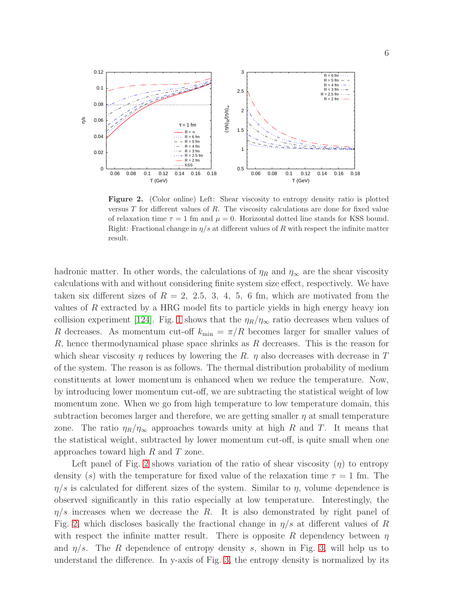

<span id="page-5-0"></span>Figure 2. (Color online) Left: Shear viscosity to entropy density ratio is plotted versus T for different values of R. The viscosity calculations are done for fixed value of relaxation time  $\tau = 1$  fm and  $\mu = 0$ . Horizontal dotted line stands for KSS bound. Right: Fractional change in  $\eta/s$  at different values of R with respect the infinite matter result.

hadronic matter. In other words, the calculations of  $\eta_R$  and  $\eta_\infty$  are the shear viscosity calculations with and without considering finite system size effect, respectively. We have taken six different sizes of  $R = 2, 2.5, 3, 4, 5, 6$  fm, which are motivated from the values of R extracted by a HRG model fits to particle yields in high energy heavy ion collision experiment [\[124\]](#page-15-20). Fig. [1](#page-4-0) shows that the  $\eta_R/\eta_\infty$  ratio decreases when values of R decreases. As momentum cut-off  $k_{\min} = \pi/R$  becomes larger for smaller values of R, hence thermodynamical phase space shrinks as R decreases. This is the reason for which shear viscosity  $\eta$  reduces by lowering the R.  $\eta$  also decreases with decrease in T of the system. The reason is as follows. The thermal distribution probability of medium constituents at lower momentum is enhanced when we reduce the temperature. Now, by introducing lower momentum cut-off, we are subtracting the statistical weight of low momentum zone. When we go from high temperature to low temperature domain, this subtraction becomes larger and therefore, we are getting smaller  $\eta$  at small temperature zone. The ratio  $\eta_R/\eta_\infty$  approaches towards unity at high R and T. It means that the statistical weight, subtracted by lower momentum cut-off, is quite small when one approaches toward high  $R$  and  $T$  zone.

Left panel of Fig. [2](#page-5-0) shows variation of the ratio of shear viscosity  $(\eta)$  to entropy density (s) with the temperature for fixed value of the relaxation time  $\tau = 1$  fm. The  $\eta/s$  is calculated for different sizes of the system. Similar to  $\eta$ , volume dependence is observed significantly in this ratio especially at low temperature. Interestingly, the  $\eta/s$  increases when we decrease the R. It is also demonstrated by right panel of Fig. [2,](#page-5-0) which discloses basically the fractional change in  $\eta/s$  at different values of R with respect the infinite matter result. There is opposite R dependency between  $\eta$ and  $\eta/s$ . The R dependence of entropy density s, shown in Fig. [3,](#page-6-0) will help us to understand the difference. In y-axis of Fig. [3,](#page-6-0) the entropy density is normalized by its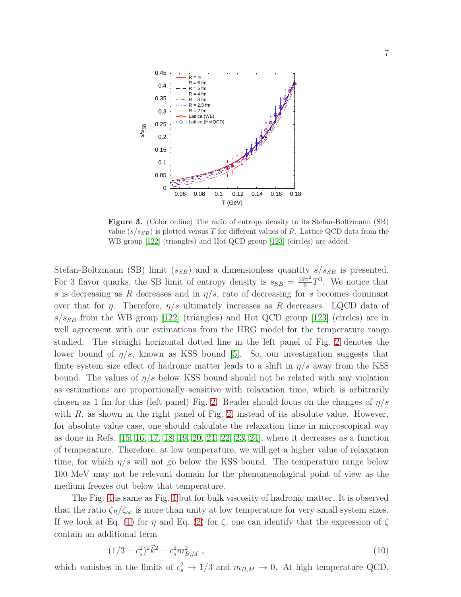

<span id="page-6-0"></span>Figure 3. (Color online) The ratio of entropy density to its Stefan-Boltzmann (SB) value  $(s/s_{SB})$  is plotted versus T for different values of R. Lattice QCD data from the WB group [\[122\]](#page-15-21) (triangles) and Hot QCD group [\[123\]](#page-15-22) (circles) are added.

Stefan-Boltzmann (SB) limit ( $s_{SB}$ ) and a dimensionless quantity  $s/s_{SB}$  is presented. For 3 flavor quarks, the SB limit of entropy density is  $s_{SB} = \frac{19\pi^2}{9}$  $\frac{\partial \pi^2}{\partial} T^3$ . We notice that s is decreasing as R decreases and in  $\eta/s$ , rate of decreasing for s becomes dominant over that for  $\eta$ . Therefore,  $\eta/s$  ultimately increases as R decreases. LQCD data of  $s/s_{SB}$  from the WB group [\[122\]](#page-15-21) (triangles) and Hot QCD group [\[123\]](#page-15-22) (circles) are in well agreement with our estimations from the HRG model for the temperature range studied. The straight horizontal dotted line in the left panel of Fig. [2](#page-5-0) denotes the lower bound of  $\eta/s$ , known as KSS bound [\[5\]](#page-12-4). So, our investigation suggests that finite system size effect of hadronic matter leads to a shift in  $\eta/s$  away from the KSS bound. The values of  $\eta/s$  below KSS bound should not be related with any violation as estimations are proportionally sensitive with relaxation time, which is arbitrarily chosen as 1 fm for this (left panel) Fig. [2.](#page-5-0) Reader should focus on the changes of  $\eta/s$ with  $R$ , as shown in the right panel of Fig. [2,](#page-5-0) instead of its absolute value. However, for absolute value case, one should calculate the relaxation time in microscopical way as done in Refs. [\[15,](#page-13-4) [16,](#page-13-5) [17,](#page-13-6) [18,](#page-13-7) [19,](#page-13-8) [20,](#page-13-9) [21,](#page-13-10) [22,](#page-13-11) [23,](#page-13-12) [24\]](#page-13-13), where it decreases as a function of temperature. Therefore, at low temperature, we will get a higher value of relaxation time, for which  $\eta/s$  will not go below the KSS bound. The temperature range below 100 MeV may not be relevant domain for the phenomenological point of view as the medium freezes out below that temperature.

The Fig. [4](#page-7-0) is same as Fig. [1](#page-4-0) but for bulk viscosity of hadronic matter. It is observed that the ratio  $\zeta_R/\zeta_\infty$  is more than unity at low temperature for very small system sizes. If we look at Eq. [\(1\)](#page-2-0) for  $\eta$  and Eq. [\(2\)](#page-2-1) for  $\zeta$ , one can identify that the expression of  $\zeta$ contain an additional term

$$
(1/3 - c_s^2)^2 \vec{k}^2 - c_s^2 m_{B,M}^2 \,, \tag{10}
$$

which vanishes in the limits of  $c_s^2 \to 1/3$  and  $m_{B,M} \to 0$ . At high temperature QCD,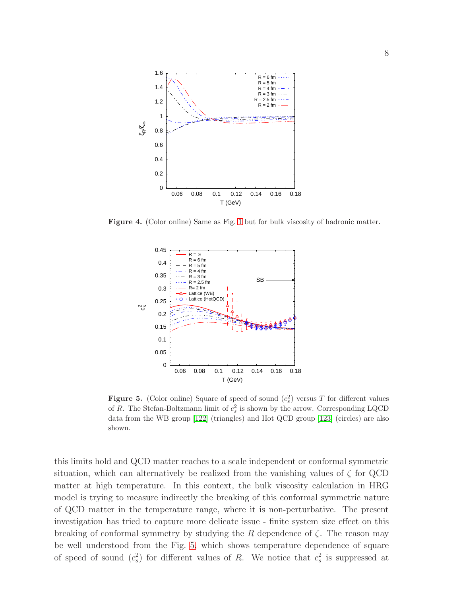

Figure 4. (Color online) Same as Fig. [1](#page-4-0) but for bulk viscosity of hadronic matter.

<span id="page-7-0"></span>

<span id="page-7-1"></span>**Figure 5.** (Color online) Square of speed of sound  $(c_s^2)$  versus T for different values of R. The Stefan-Boltzmann limit of  $c_s^2$  is shown by the arrow. Corresponding LQCD data from the WB group [\[122\]](#page-15-21) (triangles) and Hot QCD group [\[123\]](#page-15-22) (circles) are also shown.

this limits hold and QCD matter reaches to a scale independent or conformal symmetric situation, which can alternatively be realized from the vanishing values of  $\zeta$  for QCD matter at high temperature. In this context, the bulk viscosity calculation in HRG model is trying to measure indirectly the breaking of this conformal symmetric nature of QCD matter in the temperature range, where it is non-perturbative. The present investigation has tried to capture more delicate issue - finite system size effect on this breaking of conformal symmetry by studying the R dependence of  $\zeta$ . The reason may be well understood from the Fig. [5,](#page-7-1) which shows temperature dependence of square of speed of sound  $(c_s^2)$  for different values of R. We notice that  $c_s^2$  is suppressed at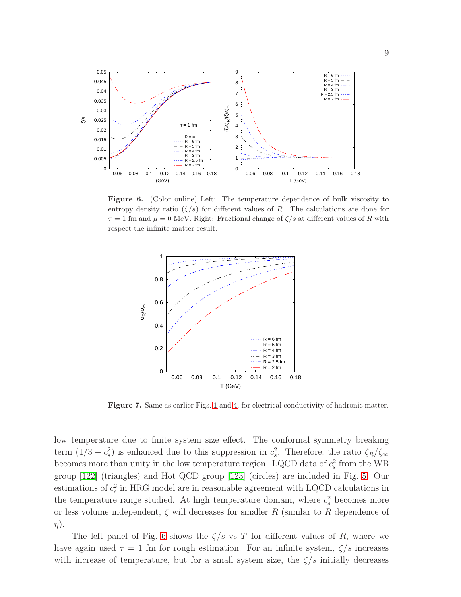

<span id="page-8-1"></span>Figure 6. (Color online) Left: The temperature dependence of bulk viscosity to entropy density ratio  $(\zeta/s)$  for different values of R. The calculations are done for  $\tau = 1$  fm and  $\mu = 0$  MeV. Right: Fractional change of  $\zeta/s$  at different values of R with respect the infinite matter result.



<span id="page-8-0"></span>Figure 7. Same as earlier Figs. [1](#page-4-0) and [4,](#page-7-0) for electrical conductivity of hadronic matter.

low temperature due to finite system size effect. The conformal symmetry breaking term  $(1/3 - c_s^2)$  is enhanced due to this suppression in  $c_s^2$ . Therefore, the ratio  $\zeta_R/\zeta_\infty$ becomes more than unity in the low temperature region. LQCD data of  $c_s^2$  from the WB group [\[122\]](#page-15-21) (triangles) and Hot QCD group [\[123\]](#page-15-22) (circles) are included in Fig. [5.](#page-7-1) Our estimations of  $c_s^2$  in HRG model are in reasonable agreement with LQCD calculations in the temperature range studied. At high temperature domain, where  $c_s^2$  becomes more or less volume independent,  $\zeta$  will decreases for smaller R (similar to R dependence of  $\eta$ ).

The left panel of Fig. [6](#page-8-1) shows the  $\zeta/s$  vs T for different values of R, where we have again used  $\tau = 1$  fm for rough estimation. For an infinite system,  $\zeta/s$  increases with increase of temperature, but for a small system size, the  $\zeta/s$  initially decreases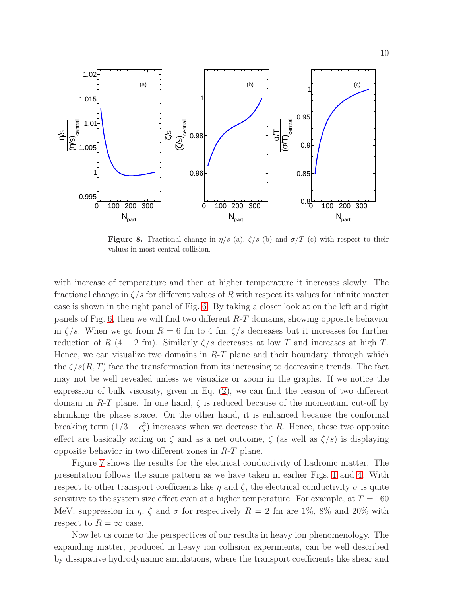

<span id="page-9-0"></span>**Figure 8.** Fractional change in  $\eta/s$  (a),  $\zeta/s$  (b) and  $\sigma/T$  (c) with respect to their values in most central collision.

with increase of temperature and then at higher temperature it increases slowly. The fractional change in  $\zeta/s$  for different values of R with respect its values for infinite matter case is shown in the right panel of Fig. [6.](#page-8-1) By taking a closer look at on the left and right panels of Fig. [6,](#page-8-1) then we will find two different R-T domains, showing opposite behavior in  $\zeta/s$ . When we go from  $R = 6$  fm to 4 fm,  $\zeta/s$  decreases but it increases for further reduction of R (4 − 2 fm). Similarly  $\zeta/s$  decreases at low T and increases at high T. Hence, we can visualize two domains in  $R-T$  plane and their boundary, through which the  $\zeta/s(R,T)$  face the transformation from its increasing to decreasing trends. The fact may not be well revealed unless we visualize or zoom in the graphs. If we notice the expression of bulk viscosity, given in Eq. [\(2\)](#page-2-1), we can find the reason of two different domain in  $R$ -T plane. In one hand,  $\zeta$  is reduced because of the momentum cut-off by shrinking the phase space. On the other hand, it is enhanced because the conformal breaking term  $(1/3 - c_s^2)$  increases when we decrease the R. Hence, these two opposite effect are basically acting on  $\zeta$  and as a net outcome,  $\zeta$  (as well as  $\zeta/s$ ) is displaying opposite behavior in two different zones in R-T plane.

Figure [7](#page-8-0) shows the results for the electrical conductivity of hadronic matter. The presentation follows the same pattern as we have taken in earlier Figs. [1](#page-4-0) and [4.](#page-7-0) With respect to other transport coefficients like  $\eta$  and  $\zeta$ , the electrical conductivity  $\sigma$  is quite sensitive to the system size effect even at a higher temperature. For example, at  $T = 160$ MeV, suppression in  $\eta$ ,  $\zeta$  and  $\sigma$  for respectively  $R = 2$  fm are 1%, 8% and 20% with respect to  $R = \infty$  case.

Now let us come to the perspectives of our results in heavy ion phenomenology. The expanding matter, produced in heavy ion collision experiments, can be well described by dissipative hydrodynamic simulations, where the transport coefficients like shear and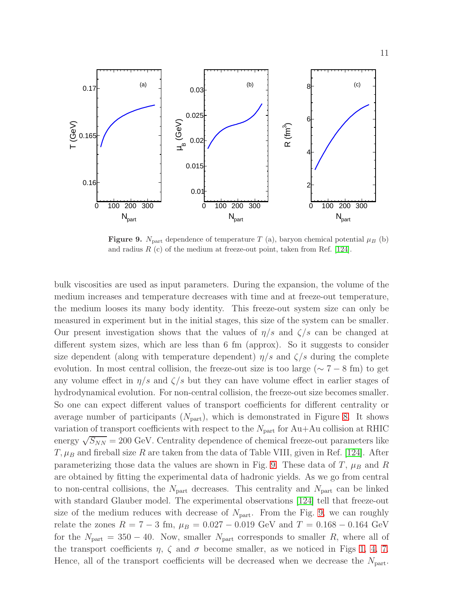

<span id="page-10-0"></span>**Figure 9.**  $N_{\text{part}}$  dependence of temperature T (a), baryon chemical potential  $\mu_B$  (b) and radius  $R$  (c) of the medium at freeze-out point, taken from Ref. [\[124\]](#page-15-20).

bulk viscosities are used as input parameters. During the expansion, the volume of the medium increases and temperature decreases with time and at freeze-out temperature, the medium looses its many body identity. This freeze-out system size can only be measured in experiment but in the initial stages, this size of the system can be smaller. Our present investigation shows that the values of  $\eta/s$  and  $\zeta/s$  can be changed at different system sizes, which are less than 6 fm (approx). So it suggests to consider size dependent (along with temperature dependent)  $\eta/s$  and  $\zeta/s$  during the complete evolution. In most central collision, the freeze-out size is too large ( $\sim 7-8$  fm) to get any volume effect in  $\eta/s$  and  $\zeta/s$  but they can have volume effect in earlier stages of hydrodynamical evolution. For non-central collision, the freeze-out size becomes smaller. So one can expect different values of transport coefficients for different centrality or average number of participants  $(N_{part})$ , which is demonstrated in Figure [8.](#page-9-0) It shows variation of transport coefficients with respect to the  $N_{part}$  for Au+Au collision at RHIC energy  $\sqrt{S_{NN}}$  = 200 GeV. Centrality dependence of chemical freeze-out parameters like  $T, \mu_B$  and fireball size R are taken from the data of Table VIII, given in Ref. [\[124\]](#page-15-20). After parameterizing those data the values are shown in Fig. [9.](#page-10-0) These data of  $T$ ,  $\mu_B$  and R are obtained by fitting the experimental data of hadronic yields. As we go from central to non-central collisions, the  $N_{\text{part}}$  decreases. This centrality and  $N_{\text{part}}$  can be linked with standard Glauber model. The experimental observations [\[124\]](#page-15-20) tell that freeze-out size of the medium reduces with decrease of  $N_{\text{part}}$ . From the Fig. [9,](#page-10-0) we can roughly relate the zones  $R = 7 - 3$  fm,  $\mu_B = 0.027 - 0.019$  GeV and  $T = 0.168 - 0.164$  GeV for the  $N_{\text{part}} = 350 - 40$ . Now, smaller  $N_{\text{part}}$  corresponds to smaller R, where all of the transport coefficients  $\eta$ ,  $\zeta$  and  $\sigma$  become smaller, as we noticed in Figs [1,](#page-4-0) [4,](#page-7-0) [7.](#page-8-0) Hence, all of the transport coefficients will be decreased when we decrease the  $N_{part}$ .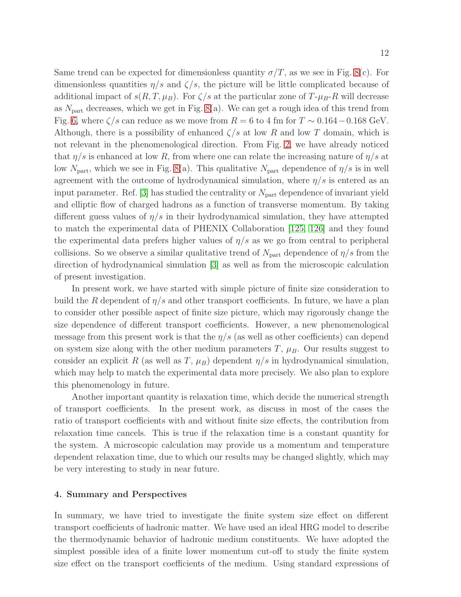Same trend can be expected for dimensionless quantity  $\sigma/T$ , as we see in Fig. [8\(](#page-9-0)c). For dimensionless quantities  $\eta/s$  and  $\zeta/s$ , the picture will be little complicated because of additional impact of  $s(R, T, \mu_B)$ . For  $\zeta/s$  at the particular zone of  $T-\mu_B-R$  will decrease as  $N_{\text{part}}$  decreases, which we get in Fig. [8\(](#page-9-0)a). We can get a rough idea of this trend from Fig. [6,](#page-8-1) where  $\zeta/s$  can reduce as we move from  $R = 6$  to 4 fm for  $T \sim 0.164 - 0.168$  GeV. Although, there is a possibility of enhanced  $\zeta/s$  at low R and low T domain, which is not relevant in the phenomenological direction. From Fig. [2,](#page-5-0) we have already noticed that  $\eta/s$  is enhanced at low R, from where one can relate the increasing nature of  $\eta/s$  at low  $N_{\text{part}}$ , which we see in Fig. [8\(](#page-9-0)a). This qualitative  $N_{\text{part}}$  dependence of  $\eta/s$  is in well agreement with the outcome of hydrodynamical simulation, where  $\eta/s$  is entered as an input parameter. Ref.  $|3|$  has studied the centrality or  $N_{part}$  dependence of invariant yield and elliptic flow of charged hadrons as a function of transverse momentum. By taking different guess values of  $\eta/s$  in their hydrodynamical simulation, they have attempted to match the experimental data of PHENIX Collaboration [\[125,](#page-15-23) [126\]](#page-15-24) and they found the experimental data prefers higher values of  $\eta/s$  as we go from central to peripheral collisions. So we observe a similar qualitative trend of  $N_{part}$  dependence of  $\eta/s$  from the direction of hydrodynamical simulation [\[3\]](#page-12-2) as well as from the microscopic calculation of present investigation.

In present work, we have started with simple picture of finite size consideration to build the R dependent of  $\eta/s$  and other transport coefficients. In future, we have a plan to consider other possible aspect of finite size picture, which may rigorously change the size dependence of different transport coefficients. However, a new phenomenological message from this present work is that the  $\eta/s$  (as well as other coefficients) can depend on system size along with the other medium parameters  $T$ ,  $\mu_B$ . Our results suggest to consider an explicit R (as well as T,  $\mu_B$ ) dependent  $\eta/s$  in hydrodynamical simulation, which may help to match the experimental data more precisely. We also plan to explore this phenomenology in future.

Another important quantity is relaxation time, which decide the numerical strength of transport coefficients. In the present work, as discuss in most of the cases the ratio of transport coefficients with and without finite size effects, the contribution from relaxation time cancels. This is true if the relaxation time is a constant quantity for the system. A microscopic calculation may provide us a momentum and temperature dependent relaxation time, due to which our results may be changed slightly, which may be very interesting to study in near future.

#### 4. Summary and Perspectives

In summary, we have tried to investigate the finite system size effect on different transport coefficients of hadronic matter. We have used an ideal HRG model to describe the thermodynamic behavior of hadronic medium constituents. We have adopted the simplest possible idea of a finite lower momentum cut-off to study the finite system size effect on the transport coefficients of the medium. Using standard expressions of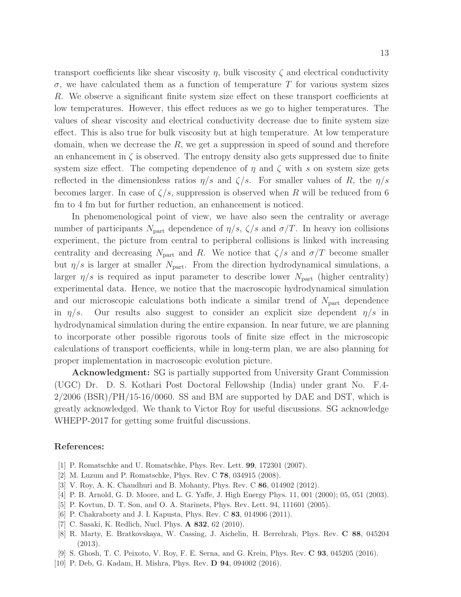transport coefficients like shear viscosity  $\eta$ , bulk viscosity  $\zeta$  and electrical conductivity  $\sigma$ , we have calculated them as a function of temperature T for various system sizes R. We observe a significant finite system size effect on these transport coefficients at low temperatures. However, this effect reduces as we go to higher temperatures. The values of shear viscosity and electrical conductivity decrease due to finite system size effect. This is also true for bulk viscosity but at high temperature. At low temperature domain, when we decrease the  $R$ , we get a suppression in speed of sound and therefore an enhancement in  $\zeta$  is observed. The entropy density also gets suppressed due to finite system size effect. The competing dependence of  $\eta$  and  $\zeta$  with s on system size gets reflected in the dimensionless ratios  $\eta/s$  and  $\zeta/s$ . For smaller values of R, the  $\eta/s$ becomes larger. In case of  $\zeta/s$ , suppression is observed when R will be reduced from 6 fm to 4 fm but for further reduction, an enhancement is noticed.

In phenomenological point of view, we have also seen the centrality or average number of participants  $N_{\text{part}}$  dependence of  $\eta/s$ ,  $\zeta/s$  and  $\sigma/T$ . In heavy ion collisions experiment, the picture from central to peripheral collisions is linked with increasing centrality and decreasing  $N_{part}$  and R. We notice that  $\zeta/s$  and  $\sigma/T$  become smaller but  $\eta/s$  is larger at smaller  $N_{\text{part}}$ . From the direction hydrodynamical simulations, a larger  $\eta/s$  is required as input parameter to describe lower  $N_{\text{part}}$  (higher centrality) experimental data. Hence, we notice that the macroscopic hydrodynamical simulation and our microscopic calculations both indicate a similar trend of  $N_{part}$  dependence in  $\eta/s$ . Our results also suggest to consider an explicit size dependent  $\eta/s$  in hydrodynamical simulation during the entire expansion. In near future, we are planning to incorporate other possible rigorous tools of finite size effect in the microscopic calculations of transport coefficients, while in long-term plan, we are also planning for proper implementation in macroscopic evolution picture.

Acknowledgment: SG is partially supported from University Grant Commission (UGC) Dr. D. S. Kothari Post Doctoral Fellowship (India) under grant No. F.4-  $2/2006$  (BSR)/PH/15-16/0060. SS and BM are supported by DAE and DST, which is greatly acknowledged. We thank to Victor Roy for useful discussions. SG acknowledge WHEPP-2017 for getting some fruitful discussions.

#### <span id="page-12-0"></span>References:

- <span id="page-12-1"></span>[1] P. Romatschke and U. Romatschke, Phys. Rev. Lett. 99, 172301 (2007).
- <span id="page-12-2"></span>[2] M. Luzum and P. Romatschke, Phys. Rev. C 78, 034915 (2008).
- <span id="page-12-3"></span>[3] V. Roy, A. K. Chaudhuri and B. Mohanty, Phys. Rev. C 86, 014902 (2012).
- <span id="page-12-4"></span>[4] P. B. Arnold, G. D. Moore, and L. G. Yaffe, J. High Energy Phys. 11, 001 (2000); 05, 051 (2003).
- <span id="page-12-5"></span>[5] P. Kovtun, D. T. Son, and O. A. Starinets, Phys. Rev. Lett. 94, 111601 (2005).
- <span id="page-12-6"></span>[6] P. Chakraborty and J. I. Kapusta, Phys. Rev. C **83**, 014906 (2011).
- <span id="page-12-7"></span>[7] C. Sasaki, K. Redlich, Nucl. Phys. A 832, 62 (2010).
- [8] R. Marty, E. Bratkovskaya, W. Cassing, J. Aichelin, H. Berrehrah, Phys. Rev. C 88, 045204 (2013).
- <span id="page-12-9"></span><span id="page-12-8"></span>[9] S. Ghosh, T. C. Peixoto, V. Roy, F. E. Serna, and G. Krein, Phys. Rev. C 93, 045205 (2016).
- [10] P. Deb, G. Kadam, H. Mishra, Phys. Rev. D 94, 094002 (2016).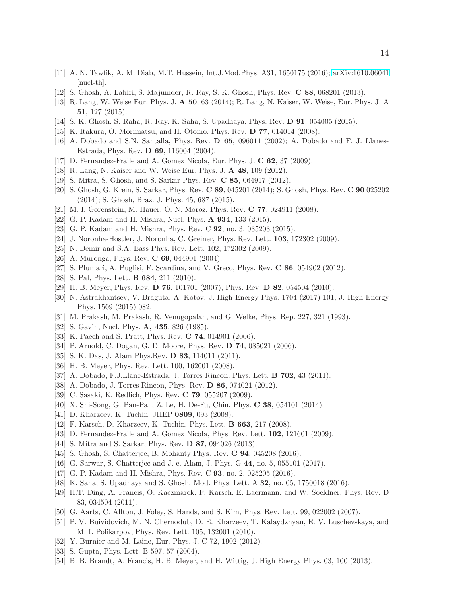- <span id="page-13-3"></span><span id="page-13-0"></span>[11] A. N. Tawfik, A. M. Diab, M.T. Hussein, Int.J.Mod.Phys. A31, 1650175 (2016); [arXiv:1610.06041](http://arxiv.org/abs/1610.06041) [nucl-th].
- <span id="page-13-1"></span>[12] S. Ghosh, A. Lahiri, S. Majumder, R. Ray, S. K. Ghosh, Phys. Rev. C 88, 068201 (2013).
- <span id="page-13-2"></span>[13] R. Lang, W. Weise Eur. Phys. J. A 50, 63 (2014); R. Lang, N. Kaiser, W. Weise, Eur. Phys. J. A 51, 127 (2015).
- <span id="page-13-4"></span>[14] S. K. Ghosh, S. Raha, R. Ray, K. Saha, S. Upadhaya, Phys. Rev. D 91, 054005 (2015).
- <span id="page-13-5"></span>[15] K. Itakura, O. Morimatsu, and H. Otomo, Phys. Rev. D 77, 014014 (2008).
- <span id="page-13-6"></span>[16] A. Dobado and S.N. Santalla, Phys. Rev. D 65, 096011 (2002); A. Dobado and F. J. Llanes-Estrada, Phys. Rev. D 69, 116004 (2004).
- <span id="page-13-7"></span>[17] D. Fernandez-Fraile and A. Gomez Nicola, Eur. Phys. J. C 62, 37 (2009).
- <span id="page-13-8"></span>[18] R. Lang, N. Kaiser and W. Weise Eur. Phys. J. A 48, 109 (2012).
- <span id="page-13-9"></span>[19] S. Mitra, S. Ghosh, and S. Sarkar Phys. Rev. C 85, 064917 (2012).
- <span id="page-13-10"></span>[20] S. Ghosh, G. Krein, S. Sarkar, Phys. Rev. C 89, 045201 (2014); S. Ghosh, Phys. Rev. C 90 025202 (2014); S. Ghosh, Braz. J. Phys. 45, 687 (2015).
- <span id="page-13-11"></span>[21] M. I. Gorenstein, M. Hauer, O. N. Moroz, Phys. Rev. C 77, 024911 (2008).
- <span id="page-13-12"></span>[22] G. P. Kadam and H. Mishra, Nucl. Phys. A 934, 133 (2015).
- <span id="page-13-13"></span>[23] G. P. Kadam and H. Mishra, Phys. Rev. C 92, no. 3, 035203 (2015).
- <span id="page-13-14"></span>[24] J. Noronha-Hostler, J. Noronha, C. Greiner, Phys. Rev. Lett. 103, 172302 (2009).
- <span id="page-13-15"></span>[25] N. Demir and S.A. Bass Phys. Rev. Lett. 102, 172302 (2009).
- <span id="page-13-16"></span>[26] A. Muronga, Phys. Rev. **C 69**, 044901 (2004).
- <span id="page-13-17"></span>[27] S. Plumari, A. Puglisi, F. Scardina, and V. Greco, Phys. Rev. C 86, 054902 (2012).
- <span id="page-13-18"></span>[28] S. Pal, Phys. Lett. **B 684**, 211 (2010).
- <span id="page-13-19"></span>[29] H. B. Meyer, Phys. Rev. D 76, 101701 (2007); Phys. Rev. D 82, 054504 (2010).
- [30] N. Astrakhantsev, V. Braguta, A. Kotov, J. High Energy Phys. 1704 (2017) 101; J. High Energy Phys. 1509 (2015) 082.
- <span id="page-13-23"></span><span id="page-13-21"></span>[31] M. Prakash, M. Prakash, R. Venugopalan, and G. Welke, Phys. Rep. 227, 321 (1993).
- <span id="page-13-20"></span>[32] S. Gavin, Nucl. Phys. **A, 435**, 826 (1985).
- <span id="page-13-22"></span>[33] K. Paech and S. Pratt, Phys. Rev. **C 74**, 014901 (2006).
- <span id="page-13-28"></span>[34] P. Arnold, C. Dogan, G. D. Moore, Phys. Rev. D 74, 085021 (2006).
- <span id="page-13-34"></span>[35] S. K. Das, J. Alam Phys.Rev. D 83, 114011 (2011).
- <span id="page-13-35"></span>[36] H. B. Meyer, Phys. Rev. Lett. 100, 162001 (2008).
- <span id="page-13-36"></span>[37] A. Dobado, F.J.Llane-Estrada, J. Torres Rincon, Phys. Lett. B 702, 43 (2011).
- <span id="page-13-27"></span>[38] A. Dobado, J. Torres Rincon, Phys. Rev. D 86, 074021 (2012).
- <span id="page-13-26"></span>[39] C. Sasaki, K. Redlich, Phys. Rev. C 79, 055207 (2009).
- <span id="page-13-24"></span>[40] X. Shi-Song, G. Pan-Pan, Z. Le, H. De-Fu, Chin. Phys. C 38, 054101 (2014).
- <span id="page-13-25"></span>[41] D. Kharzeev, K. Tuchin, JHEP 0809, 093 (2008).
- <span id="page-13-32"></span>[42] F. Karsch, D. Kharzeev, K. Tuchin, Phys. Lett. B 663, 217 (2008).
- <span id="page-13-29"></span>[43] D. Fernandez-Fraile and A. Gomez Nicola, Phys. Rev. Lett. 102, 121601 (2009).
- <span id="page-13-33"></span>[44] S. Mitra and S. Sarkar, Phys. Rev. **D 87**, 094026 (2013).
- <span id="page-13-31"></span>[45] S. Ghosh, S. Chatterjee, B. Mohanty Phys. Rev. C 94, 045208 (2016).
- <span id="page-13-30"></span>[46] G. Sarwar, S. Chatterjee and J. e. Alam, J. Phys. G 44, no. 5, 055101 (2017).
- <span id="page-13-37"></span>[47] G. P. Kadam and H. Mishra, Phys. Rev. C 93, no. 2, 025205 (2016).
- <span id="page-13-38"></span>[48] K. Saha, S. Upadhaya and S. Ghosh, Mod. Phys. Lett. A 32, no. 05, 1750018 (2016).
- [49] H.T. Ding, A. Francis, O. Kaczmarek, F. Karsch, E. Laermann, and W. Soeldner, Phys. Rev. D 83, 034504 (2011).
- <span id="page-13-40"></span><span id="page-13-39"></span>[50] G. Aarts, C. Allton, J. Foley, S. Hands, and S. Kim, Phys. Rev. Lett. 99, 022002 (2007).
- [51] P. V. Buividovich, M. N. Chernodub, D. E. Kharzeev, T. Kalaydzhyan, E. V. Luschevskaya, and M. I. Polikarpov, Phys. Rev. Lett. 105, 132001 (2010).
- <span id="page-13-42"></span><span id="page-13-41"></span>[52] Y. Burnier and M. Laine, Eur. Phys. J. C 72, 1902 (2012).
- <span id="page-13-43"></span>[53] S. Gupta, Phys. Lett. B 597, 57 (2004).
- [54] B. B. Brandt, A. Francis, H. B. Meyer, and H. Wittig, J. High Energy Phys. 03, 100 (2013).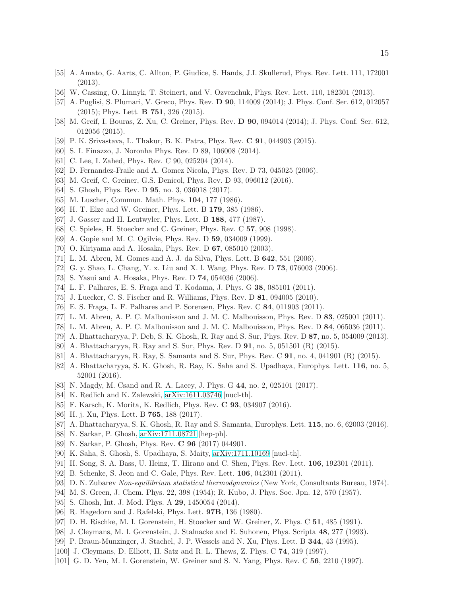- <span id="page-14-1"></span><span id="page-14-0"></span>[55] A. Amato, G. Aarts, C. Allton, P. Giudice, S. Hands, J.I. Skullerud, Phys. Rev. Lett. 111, 172001 (2013).
- <span id="page-14-2"></span>[56] W. Cassing, O. Linnyk, T. Steinert, and V. Ozvenchuk, Phys. Rev. Lett. 110, 182301 (2013).
- <span id="page-14-3"></span>[57] A. Puglisi, S. Plumari, V. Greco, Phys. Rev. D 90, 114009 (2014); J. Phys. Conf. Ser. 612, 012057 (2015); Phys. Lett. B 751, 326 (2015).
- <span id="page-14-4"></span>[58] M. Greif, I. Bouras, Z. Xu, C. Greiner, Phys. Rev. D 90, 094014 (2014); J. Phys. Conf. Ser. 612, 012056 (2015).
- <span id="page-14-5"></span>[59] P. K. Srivastava, L. Thakur, B. K. Patra, Phys. Rev. C 91, 044903 (2015).
- <span id="page-14-6"></span>[60] S. I. Finazzo, J. Noronha Phys. Rev. D 89, 106008 (2014).
- <span id="page-14-7"></span>[61] C. Lee, I. Zahed, Phys. Rev. C 90, 025204 (2014).
- <span id="page-14-8"></span>[62] D. Fernandez-Fraile and A. Gomez Nicola, Phys. Rev. D 73, 045025 (2006).
- <span id="page-14-9"></span>[63] M. Greif, C. Greiner, G.S. Denicol, Phys. Rev. D 93, 096012 (2016).
- <span id="page-14-10"></span>[64] S. Ghosh, Phys. Rev. D **95**, no. 3, 036018 (2017).
- <span id="page-14-11"></span>[65] M. Luscher, Commun. Math. Phys. **104**, 177 (1986).
- <span id="page-14-12"></span>[66] H. T. Elze and W. Greiner, Phys. Lett. B 179, 385 (1986).
- <span id="page-14-13"></span>[67] J. Gasser and H. Leutwyler, Phys. Lett. B 188, 477 (1987).
- <span id="page-14-14"></span>[68] C. Spieles, H. Stoecker and C. Greiner, Phys. Rev. C **57**, 908 (1998).
- <span id="page-14-15"></span>[69] A. Gopie and M. C. Ogilvie, Phys. Rev. D **59**, 034009 (1999).
- <span id="page-14-16"></span>[70] O. Kiriyama and A. Hosaka, Phys. Rev. D 67, 085010 (2003).
- <span id="page-14-17"></span>[71] L. M. Abreu, M. Gomes and A. J. da Silva, Phys. Lett. B 642, 551 (2006).
- <span id="page-14-18"></span>[72] G. y. Shao, L. Chang, Y. x. Liu and X. l. Wang, Phys. Rev. D 73, 076003 (2006).
- <span id="page-14-19"></span>[73] S. Yasui and A. Hosaka, Phys. Rev. D 74, 054036 (2006).
- <span id="page-14-20"></span>[74] L. F. Palhares, E. S. Fraga and T. Kodama, J. Phys. G 38, 085101 (2011).
- <span id="page-14-21"></span>[75] J. Luecker, C. S. Fischer and R. Williams, Phys. Rev. D 81, 094005 (2010).
- <span id="page-14-22"></span>[76] E. S. Fraga, L. F. Palhares and P. Sorensen, Phys. Rev. C 84, 011903 (2011).
- <span id="page-14-23"></span>[77] L. M. Abreu, A. P. C. Malbouisson and J. M. C. Malbouisson, Phys. Rev. D 83, 025001 (2011).
- <span id="page-14-24"></span>[78] L. M. Abreu, A. P. C. Malbouisson and J. M. C. Malbouisson, Phys. Rev. D 84, 065036 (2011).
- <span id="page-14-25"></span>[79] A. Bhattacharyya, P. Deb, S. K. Ghosh, R. Ray and S. Sur, Phys. Rev. D 87, no. 5, 054009 (2013).
- <span id="page-14-26"></span>[80] A. Bhattacharyya, R. Ray and S. Sur, Phys. Rev. D 91, no. 5, 051501 (R) (2015).
- <span id="page-14-27"></span>[81] A. Bhattacharyya, R. Ray, S. Samanta and S. Sur, Phys. Rev. C 91, no. 4, 041901 (R) (2015).
- [82] A. Bhattacharyya, S. K. Ghosh, R. Ray, K. Saha and S. Upadhaya, Europhys. Lett. 116, no. 5, 52001 (2016).
- <span id="page-14-29"></span><span id="page-14-28"></span>[83] N. Magdy, M. Csand and R. A. Lacey, J. Phys. G 44, no. 2, 025101 (2017).
- <span id="page-14-30"></span>[84] K. Redlich and K. Zalewski, [arXiv:1611.03746](http://arxiv.org/abs/1611.03746) [nucl-th].
- <span id="page-14-31"></span>[85] F. Karsch, K. Morita, K. Redlich, Phys. Rev. C 93, 034907 (2016).
- <span id="page-14-32"></span>[86] H. j. Xu, Phys. Lett. B 765, 188 (2017).
- <span id="page-14-33"></span>[87] A. Bhattacharyya, S. K. Ghosh, R. Ray and S. Samanta, Europhys. Lett. 115, no. 6, 62003 (2016).
- <span id="page-14-34"></span>[88] N. Sarkar, P. Ghosh, [arXiv:1711.08721](http://arxiv.org/abs/1711.08721) [hep-ph].
- <span id="page-14-35"></span>[89] N. Sarkar, P. Ghosh, Phys. Rev. C 96 (2017) 044901.
- <span id="page-14-36"></span>[90] K. Saha, S. Ghosh, S. Upadhaya, S. Maity, [arXiv:1711.10169](http://arxiv.org/abs/1711.10169) [nucl-th].
- <span id="page-14-37"></span>[91] H. Song, S. A. Bass, U. Heinz, T. Hirano and C. Shen, Phys. Rev. Lett. 106, 192301 (2011).
- [92] B. Schenke, S. Jeon and C. Gale, Phys. Rev. Lett. 106, 042301 (2011).
- [93] D. N. Zubarev Non-equilibrium statistical thermodynamics (New York, Consultants Bureau, 1974).
- <span id="page-14-38"></span>[94] M. S. Green, J. Chem. Phys. 22, 398 (1954); R. Kubo, J. Phys. Soc. Jpn. 12, 570 (1957).
- <span id="page-14-39"></span>[95] S. Ghosh, Int. J. Mod. Phys. A **29**, 1450054 (2014).
- <span id="page-14-40"></span>[96] R. Hagedorn and J. Rafelski, Phys. Lett. 97B, 136 (1980).
- <span id="page-14-41"></span>[97] D. H. Rischke, M. I. Gorenstein, H. Stoecker and W. Greiner, Z. Phys. C 51, 485 (1991).
- <span id="page-14-42"></span>[98] J. Cleymans, M. I. Gorenstein, J. Stalnacke and E. Suhonen, Phys. Scripta 48, 277 (1993).
- <span id="page-14-43"></span>[99] P. Braun-Munzinger, J. Stachel, J. P. Wessels and N. Xu, Phys. Lett. B 344, 43 (1995).
- <span id="page-14-44"></span>[100] J. Cleymans, D. Elliott, H. Satz and R. L. Thews, Z. Phys. C 74, 319 (1997).
- [101] G. D. Yen, M. I. Gorenstein, W. Greiner and S. N. Yang, Phys. Rev. C 56, 2210 (1997).